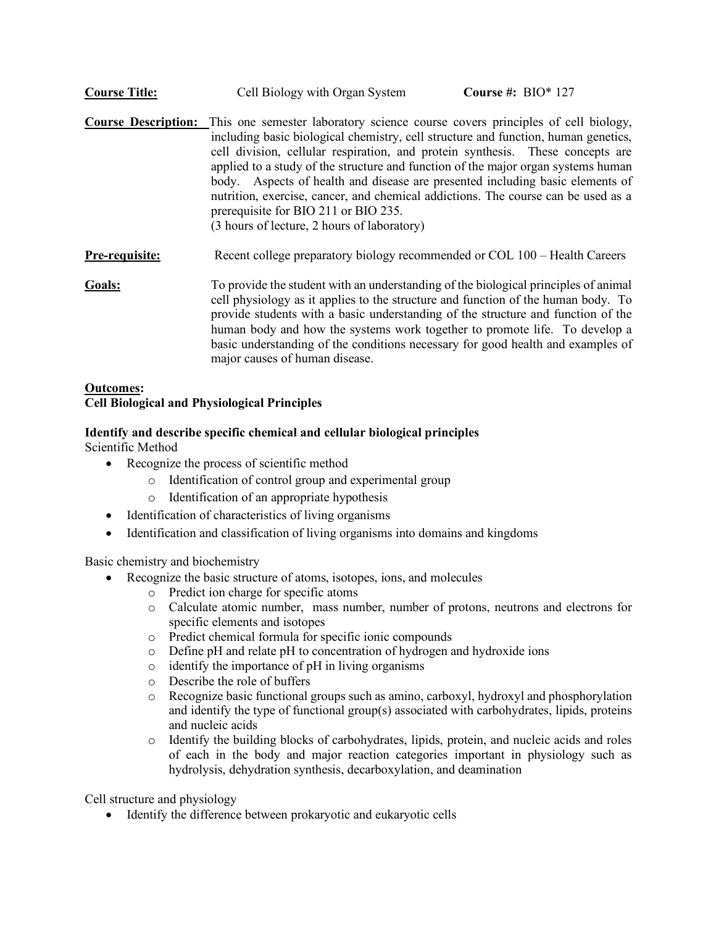| <b>Course Title:</b> | Cell Biology with Organ System | Course #: $BIO*127$ |
|----------------------|--------------------------------|---------------------|
|----------------------|--------------------------------|---------------------|

**Course Description:** This one semester laboratory science course covers principles of cell biology, including basic biological chemistry, cell structure and function, human genetics, cell division, cellular respiration, and protein synthesis. These concepts are applied to a study of the structure and function of the major organ systems human body. Aspects of health and disease are presented including basic elements of nutrition, exercise, cancer, and chemical addictions. The course can be used as a prerequisite for BIO 211 or BIO 235. (3 hours of lecture, 2 hours of laboratory)

**Pre-requisite:** Recent college preparatory biology recommended or COL 100 – Health Careers

**Goals:** To provide the student with an understanding of the biological principles of animal cell physiology as it applies to the structure and function of the human body. To provide students with a basic understanding of the structure and function of the human body and how the systems work together to promote life. To develop a basic understanding of the conditions necessary for good health and examples of major causes of human disease.

### **Outcomes: Cell Biological and Physiological Principles**

# **Identify and describe specific chemical and cellular biological principles**

Scientific Method

- Recognize the process of scientific method
	- o Identification of control group and experimental group
	- o Identification of an appropriate hypothesis
- Identification of characteristics of living organisms
- Identification and classification of living organisms into domains and kingdoms

Basic chemistry and biochemistry

- Recognize the basic structure of atoms, isotopes, ions, and molecules
	- o Predict ion charge for specific atoms
		- o Calculate atomic number, mass number, number of protons, neutrons and electrons for specific elements and isotopes
		- o Predict chemical formula for specific ionic compounds
	- o Define pH and relate pH to concentration of hydrogen and hydroxide ions
	- o identify the importance of pH in living organisms
	- o Describe the role of buffers
	- $\circ$  Recognize basic functional groups such as amino, carboxyl, hydroxyl and phosphorylation and identify the type of functional group(s) associated with carbohydrates, lipids, proteins and nucleic acids
	- o Identify the building blocks of carbohydrates, lipids, protein, and nucleic acids and roles of each in the body and major reaction categories important in physiology such as hydrolysis, dehydration synthesis, decarboxylation, and deamination

Cell structure and physiology

• Identify the difference between prokaryotic and eukaryotic cells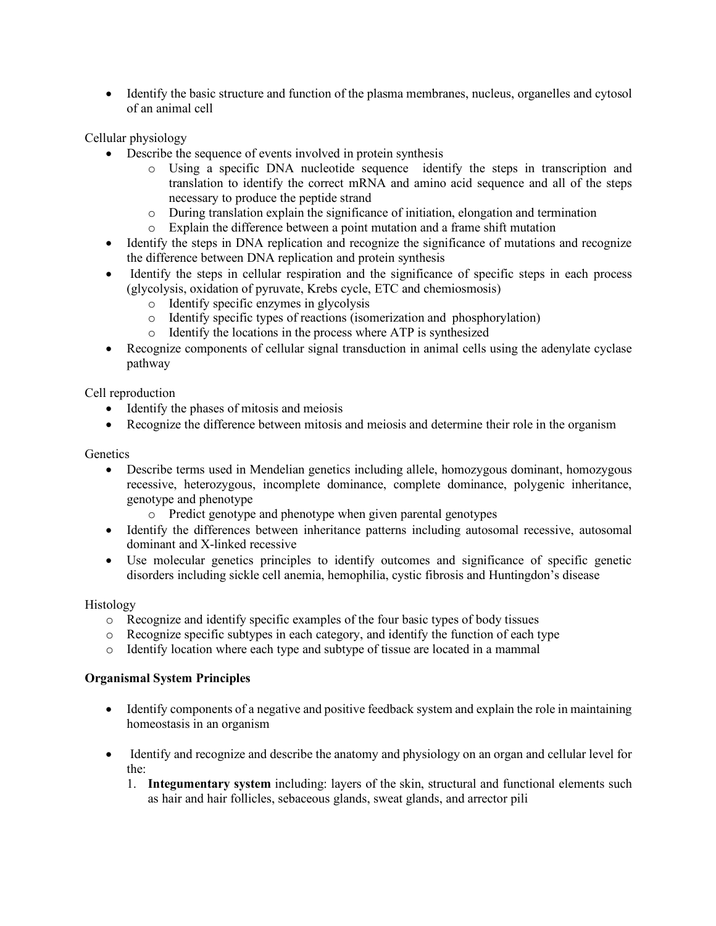• Identify the basic structure and function of the plasma membranes, nucleus, organelles and cytosol of an animal cell

Cellular physiology

- Describe the sequence of events involved in protein synthesis
	- o Using a specific DNA nucleotide sequence identify the steps in transcription and translation to identify the correct mRNA and amino acid sequence and all of the steps necessary to produce the peptide strand
	- o During translation explain the significance of initiation, elongation and termination
	- o Explain the difference between a point mutation and a frame shift mutation
- Identify the steps in DNA replication and recognize the significance of mutations and recognize the difference between DNA replication and protein synthesis
- Identify the steps in cellular respiration and the significance of specific steps in each process (glycolysis, oxidation of pyruvate, Krebs cycle, ETC and chemiosmosis)
	- o Identify specific enzymes in glycolysis
	- o Identify specific types of reactions (isomerization and phosphorylation)
	- o Identify the locations in the process where ATP is synthesized
- Recognize components of cellular signal transduction in animal cells using the adenylate cyclase pathway

Cell reproduction

- Identify the phases of mitosis and meiosis
- Recognize the difference between mitosis and meiosis and determine their role in the organism

### **Genetics**

- Describe terms used in Mendelian genetics including allele, homozygous dominant, homozygous recessive, heterozygous, incomplete dominance, complete dominance, polygenic inheritance, genotype and phenotype
	- o Predict genotype and phenotype when given parental genotypes
- Identify the differences between inheritance patterns including autosomal recessive, autosomal dominant and X-linked recessive
- Use molecular genetics principles to identify outcomes and significance of specific genetic disorders including sickle cell anemia, hemophilia, cystic fibrosis and Huntingdon's disease

# Histology

- o Recognize and identify specific examples of the four basic types of body tissues
- o Recognize specific subtypes in each category, and identify the function of each type
- o Identify location where each type and subtype of tissue are located in a mammal

# **Organismal System Principles**

- Identify components of a negative and positive feedback system and explain the role in maintaining homeostasis in an organism
- Identify and recognize and describe the anatomy and physiology on an organ and cellular level for the:
	- 1. **Integumentary system** including: layers of the skin, structural and functional elements such as hair and hair follicles, sebaceous glands, sweat glands, and arrector pili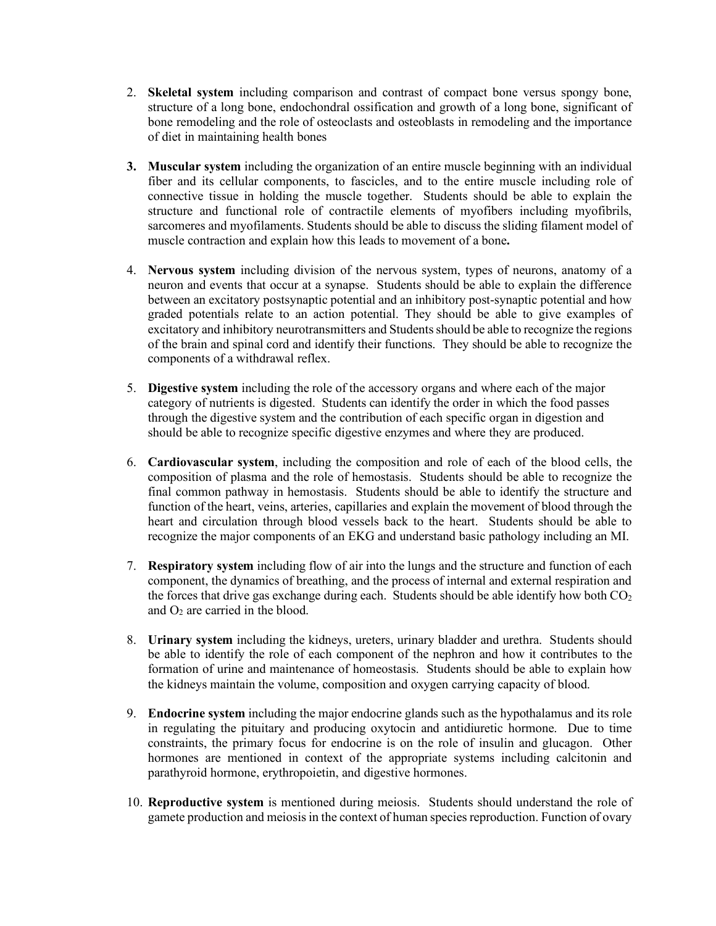- 2. **Skeletal system** including comparison and contrast of compact bone versus spongy bone, structure of a long bone, endochondral ossification and growth of a long bone, significant of bone remodeling and the role of osteoclasts and osteoblasts in remodeling and the importance of diet in maintaining health bones
- **3. Muscular system** including the organization of an entire muscle beginning with an individual fiber and its cellular components, to fascicles, and to the entire muscle including role of connective tissue in holding the muscle together. Students should be able to explain the structure and functional role of contractile elements of myofibers including myofibrils, sarcomeres and myofilaments. Students should be able to discuss the sliding filament model of muscle contraction and explain how this leads to movement of a bone**.**
- 4. **Nervous system** including division of the nervous system, types of neurons, anatomy of a neuron and events that occur at a synapse. Students should be able to explain the difference between an excitatory postsynaptic potential and an inhibitory post-synaptic potential and how graded potentials relate to an action potential. They should be able to give examples of excitatory and inhibitory neurotransmitters and Students should be able to recognize the regions of the brain and spinal cord and identify their functions. They should be able to recognize the components of a withdrawal reflex.
- 5. **Digestive system** including the role of the accessory organs and where each of the major category of nutrients is digested. Students can identify the order in which the food passes through the digestive system and the contribution of each specific organ in digestion and should be able to recognize specific digestive enzymes and where they are produced.
- 6. **Cardiovascular system**, including the composition and role of each of the blood cells, the composition of plasma and the role of hemostasis. Students should be able to recognize the final common pathway in hemostasis. Students should be able to identify the structure and function of the heart, veins, arteries, capillaries and explain the movement of blood through the heart and circulation through blood vessels back to the heart. Students should be able to recognize the major components of an EKG and understand basic pathology including an MI.
- 7. **Respiratory system** including flow of air into the lungs and the structure and function of each component, the dynamics of breathing, and the process of internal and external respiration and the forces that drive gas exchange during each. Students should be able identify how both  $CO<sub>2</sub>$ and  $O_2$  are carried in the blood.
- 8. **Urinary system** including the kidneys, ureters, urinary bladder and urethra. Students should be able to identify the role of each component of the nephron and how it contributes to the formation of urine and maintenance of homeostasis. Students should be able to explain how the kidneys maintain the volume, composition and oxygen carrying capacity of blood.
- 9. **Endocrine system** including the major endocrine glands such as the hypothalamus and its role in regulating the pituitary and producing oxytocin and antidiuretic hormone. Due to time constraints, the primary focus for endocrine is on the role of insulin and glucagon. Other hormones are mentioned in context of the appropriate systems including calcitonin and parathyroid hormone, erythropoietin, and digestive hormones.
- 10. **Reproductive system** is mentioned during meiosis. Students should understand the role of gamete production and meiosis in the context of human species reproduction. Function of ovary